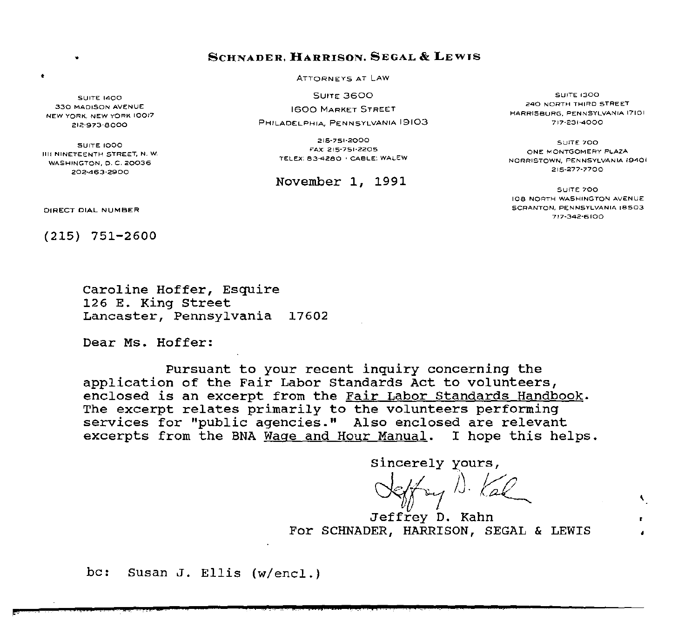# SCHNADER, **HARRISON,** SEGAL & LEWIS

ATTORNEYS AT LAW

**SUITE 3600** 

1600 MARKET \$TREET

PHILADELPHIA, PENNSYLVANIA 19103

2)5·751·2000 FAX: 215·751·2205 TELEX'. 83-4280 • CABLE: WALEW

## November 1, 1991

SUITE 1300 240 NORTH THIRD STREET HARRISBURG, PENNSYLVANIA 17101 717-231·4000

SUITE 700 ONE MONTGOMERY PLAZA NORRISTOWN, PENNSYLVANIA 19401 215-277·7700

SUITE 700 108 NORTH WASHINGTON AVENUE SCRANTON, PENNSYLVANIA 18503 7!7·342·6100

 $\ddot{\phantom{1}}$ 

**SUITE 1400** 330 MADISON AVENUE NEW YORK, NEW YORK 10017 212-973·8000

•

•

SUITE 1000 1111 NINETEENTH STREET, N. W. WASHINGTON, O. C. 20036 202-463·2900

DIRECT DIAL NUMBER

(215) 751-2600

Caroline Hoffer, Esquire 126 E. King Street Lancaster, Pennsylvania 17602

Dear Ms. Hoffer:

Pursuant to your recent inquiry concerning the application of the Fair Labor standards Act to volunteers, enclosed is an excerpt from the Fair Labor Standards Handbook. The excerpt relates primarily to the volunteers performing services for "public agencies." Also enclosed are relevant excerpts from the BNA Wage and Hour Manual. I hope this helps.

Sincerely yours,

Jeffry D. Kal *J. Kal* 

Jeffrey D. Kahn For SCHNADER, HARRISON, SEGAL & LEWIS

be: Susan J. Ellis (w/encl.)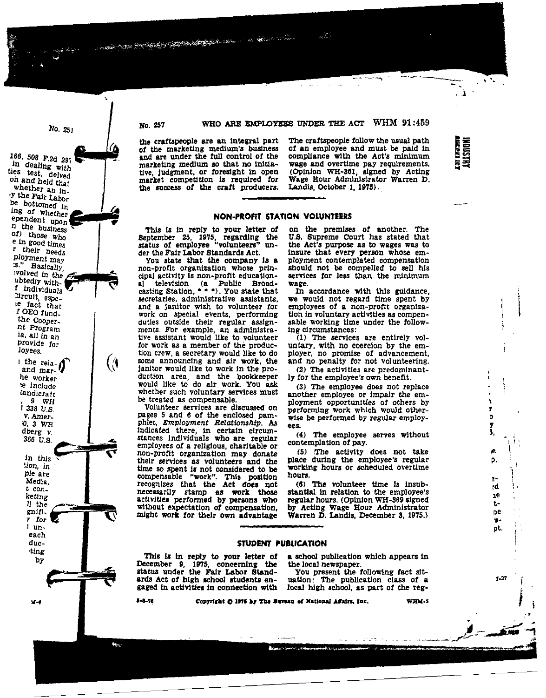## WHO ARE EMPLOYEES UNDER THE ACT WHM 91:459

**Contract** 

سربان

the craftspeople are an integral part of the marketing medium's business and are under the full control of the marketing medium so that no initiative, judgment, or foresight in open market competition is required for the success of the craft producers.

No. 257

No. 251

6, 508 F.2d 297

<sup>1</sup> dealing with

s test, delved

and held that

hether an in-

the Fair Labor bottomed in g of whether

endent upon the business

b those who

in good times

their needs

loyment may

volved in the

individuals

ircuit, espe-

e fact that

 $f$  OEO  $f$ und.

the Cooper-

nt Program

ia, all in an

provide for

the rela- $\int$  and mar-

he worker

e include

landicraft

1 338 U.S.

v. Amer-

10, 3 WH

dberg v.

366 U.S.

in this

tion, in

ple are

Media,

t con.

keting

ll the

gnifi.

r for

 $l$  un-

each duc-

ting!

 $x - 1$ 

 $by$ 

 $9W$ 

loyees.

**Basically** 

bledly with-

أمو<br>أحداث

The craftspeople follow the usual path of an employee and must be paid in compliance with the Act's minimum wage and overtime pay requirements. (Opinion WH-361, signed by Acting Wage Hour Administrator Warren D. Landis, October 1, 1975).

. À

**HIDUST** 

ã₹

ı

r

b

3.

æ.

p,

÷.

۰đ

<sub>1</sub>e

 $t-$ 

ne

 $B -$ 

pt.

 $1 - 37$ 

## **NON-PROFIT STATION VOLUNTEERS**

This is in reply to your letter of September 25, 1975, regarding the status of employee "volunteers" under the Fair Labor Standards Act.

You state that the company is a non-profit organization whose principal activity is non-profit educationtelevision (a Public Broadaî casting Station, \* \* \*). You state that secretaries, administrative assistants, and a janitor wish to volunteer for work on special events, performing duties outside their regular assignments. For example, an administrative assistant would like to volunteer for work as a member of the production crew, a secretary would like to do some announcing and air work, the janitor would like to work in the production area, and the bookkeeper<br>would like to do air work. You ask whether such voluntary services must be treated as compensable.

Volunteer services are discussed on pages 5 and 6 of the enclosed pamphlet, Employment Relationship. As indicated there, in certain circumstances individuals who are regular employees of a religious, charitable or non-profit organization may donate their services as volunteers and the time so spent is not considered to be compensable "work". This position recognizes that the Act does not necessarily stamp as work those<br>activities performed by persons who without expectation of compensation. might work for their own advantage

on the premises of another. The U.S. Supreme Court has stated that the Act's purpose as to wages was to insure that every person whose employment contemplated compensation should not be compelled to sell his services for less than the minimum wage.

In accordance with this guidance, we would not regard time spent by employees of a non-profit organization in voluntary activities as compensable working time under the following circumstances:

(1) The services are entirely voluntary, with no coercion by the employer, no promise of advancement. and no penalty for not volunteering.

(2) The activities are predominantly for the employee's own benefit.

(3) The employee does not replace another employee or impair the employment opportunities of others by performing work which would otherwise be performed by regular employees.

(4) The employee serves without contemplation of pay.

(5) The activity does not take place during the employee's regular working hours or scheduled overtime hours.

(6) The volunteer time is insubstantial in relation to the employee's regular hours. (Opinion WH-369 signed by Acting Wage Hour Administrator<br>Warren D. Landis, December 3, 1975.)

#### STUDENT PUBLICATION

This is in reply to your letter of December 9, 1975, concerning the status under the Fair Labor Standards Act of high school students engaged in activities in connection with

a school publication which appears in the local newspaper.

You present the following fact situation: The publication class of a local high school, as part of the reg-

 $-1 - 76$ 

Copyright O 1976 by The Bureau of National Affairs, Inc.

WHM-5

 $\bullet$ 

(⊕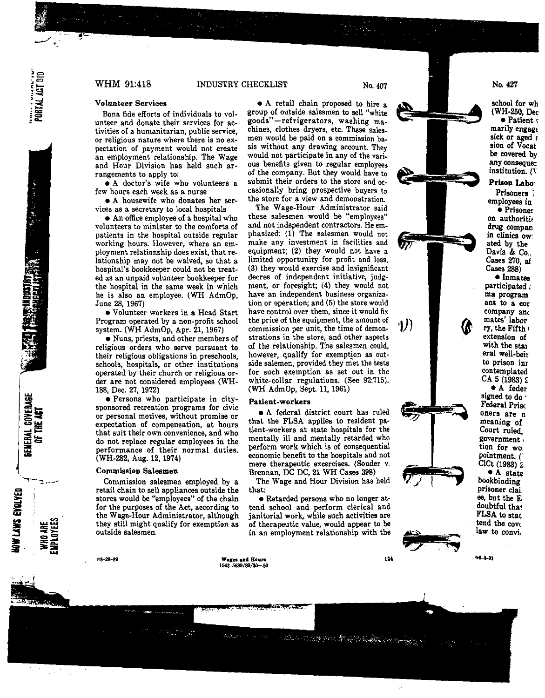PORTAL ACT DID

大学 こうかい

GENERAL COVERAGE<br>Of the ACT

**ENTRE ENTIRE** 

## WHM 91:418 INDUSTRY CHECKLIST No. 407

### **Volunteer Services**

Bona fide efforts of individuals to vol**unteer and donate their services for activities of a humanitarian, public service, or religious nature where there is no ex**pectation of payment would not create an employment relationship. The Wage and Hour Division has held such arrangements to apply to:

• **A doctor's wife who volunteers a few hours each week as a nurse** 

• A housewife who donates her ser**vices as a secretary to local hospitals** 

• An office employee of a hospital who **volunteers to minister to the comforts of**  patients in the hospital outside regular **working hours. However, where an em**ployment relationship does exist, that relationship may not be waived, so that a hospital's bookkeeper could not be treated as an unpaid volunteer bookkeeper for the hospital in the same week in which he is also an employee. (WH AdmOp, June 28, 1967)

• Volunteer workers in a Head Start Program operated by a non-profit school system. (WH AdmOp, Apr. 21, 1967)

• **Nuns, priests, and other members of religious orders who serve pursuant to their religious obligations in preschools,**  schools, hospitals, or other institutions operated by their church or religious order are not considered employees (WH-188, Dec. 27, 1972)

• **Persons who participate in citysponsored recreation programs for civic or personal motives, without promise or expectation of compensation, at hours that suit their own convenience, and who**  do not replace regular employees in the **performance of their normal duties.**  (WH-282, Aug. 12, 1974)

#### **Commission Salesmen**

Commission salesmen employed by a retail chain to sell appliances outside the stores would be "employees" of the chain for the purposes of the Act, according to the Wage-Hour Administrator, although they still might qualify for exemption as **outside salesmen.** 

• A retail chain proposed to hire **a**  group of outside salesmen to sell "white **goods" -refrigerators, washing ma**chines, clothes dryers, etc. These sales**men would be paid on a commission basis without any drawing account. They**  would not participate in any of the various benefits given to regular employees of the company. But they would have to submit their orders to the store and occasionally bring prospective buyers to **the store for a view and demonstration.**  The Wage-Hour Administrator said **these salesmen would be "employees"**  and not independent contractors. He emphasized: (1) The salesmen would not **make any investment in facilities and**  equipment; (2) they would not have a limited opportunity for profit and loss; (3) they would exercise and insignificant decree of independent initiative, judgment, or foresight; (4) they would not **have an independent business organiza**tion or operation; and (5) the store would **have control over them, since it would fix**  the price of the equipment, the amount of **commission per unit, the time of demonstrations in the store, and other aspects**  of the relationship. The salesmen could, **however, qualify for exemption as out**side salemen, provided they met the tests **for such exemption as set out in the**  white-collar regulations. (See 92:715). • A federal district court has ruled that the FLSA applies to resident patient-workers at state hospitals for the **'I})** 





**\*8-28-89 Waceaa11dBoun 100-5689/89/\$0+.50** 

that:

124

No. *427* 

school for w (WH-250, D  $\bullet$  Patien

marily enga sick or aged sion of Voc **be** covered any consequ institution.

# Prison Lab

**Prisoners** ; employees in

**• Prisone** on authoriti, drug compan in clinics ow ated by the Davis & Co., Cases 270, al Cases 288)

• Inmates participated, ma program ant to a cor company anc mates' labor ry, the Fifth <sup>1</sup> **extension of**  with the star era! well-beir **to prison inr**  contemplated  $CA_5(1983)$  2

• A feder signed to do · Federal Prise **oners are n**  meaning of Court ruled, **government** tion for wo pointment. ( CICt (1983) z • A state

bookbinding **prisoner clai**  ee, but the E doubtful that FLSA to stat tend the cove<br>law to convi.

 $-3 - 91$ 

SON TO SHOW OF HIS TIME OF THE CONTROL

(WH AdmOp, Sept. 11, 1961)

mentally ill and mentally retarded who perform work which is of consequential economic benefit to the hospitals and not mere therapeutic excercises. (Souder v. Brennan, DC DC, 21 WH Cases 398) The Wage and Hour Division has held

• Retarded persons who no longer attend school and perform clerical and **janitorial work, while such activities are**  of therapeutic value, would appear to **be**  in an employment relationship with the

**Patient-workers**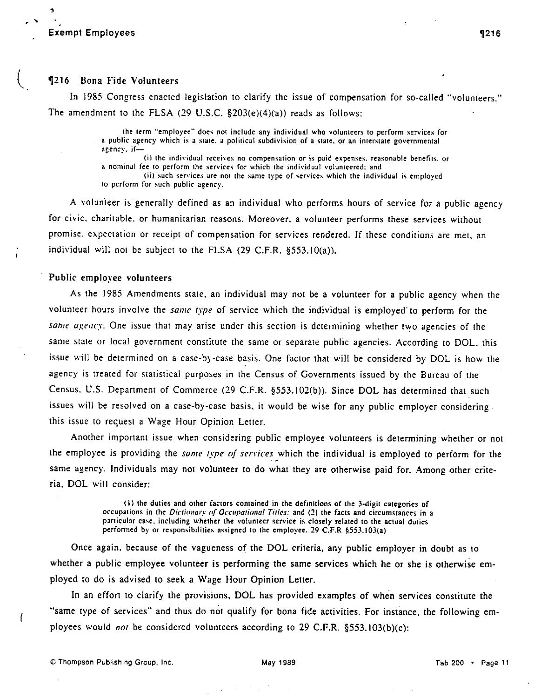Exempt Employees

 $\triangleq$ 

## **T216** Bona Fide Volunteers

In 1985 Congress enacted legislation to clarify the issue of compensation for so-called "volunteers." The amendment to the FLSA (29 U.S.C. §203(e)(4)(a)) reads as follows:

> the term "employee" does not include any individual who volunteers to perform services for a public agency which is a state, a political subdivision of a state, or an interstate governmental **agenc\'. if-**

> ... · **(il 1he individual receive:,; no compensation or is paid expenses. reasonable benefils. or a nominal fee 10 perform the services for which the individual volun1eercd: and**

(ii) such services are not the same type of services which the individual is employed **10 perform for such public agency.** 

A volunieer is generally defined as an individual who performs hours of service for a public agency for civic. charitable. or humanitarian reasons. Moreover. a volunteer performs these services without promise. expectation or receipt of compensation for services rendered. If these conditions are met. an individual will not be subject to the FLSA  $(29 \text{ C.F.R. } §553.10(a))$ .

# Public employee volunteers

As the 1985 Amendments state. an individual may not be a volunteer for a public agency when the volunteer hours involve the *same type* of service which the individual is employed· to perform for the *same agency.* One issue that may arise under this section is determining whether two agencies of the same state or local government constitute the same or separate public agencies. According to DOL. this issue will be determined on a case-by-case basis. One factor that will be considered by DOL is how the agency is treated for statistical purposes in the Census of Governments issued by the Bureau of the Census. U.S. Department of Commerce (29 C.F.R. §553.102(b)). Since DOL has determined that such issues will be resolved on a case-by-case basis. it would be wise for any public employer considering. this issue to request a Wage Hour Opinion Letter.

Another important issue when considering public employee volunteers is determining whether or not the employee is providing the *same type of services* which the individual is employed to perform for the same agency. Individuals may not volunteer to do what they are otherwise paid for. Among other criteria, DOL will consider:

> (i) the duties and other factors contained in the definitions of the 3-digit categories of **occupa1ions in the** *Dictionary of Occ11pa1io11a/ Titles:* **and (2) the facts and circumstances in a particular case. including whether the volunteer service is closely related to the actual duties performed by or responsibilities assigned to the employee. 29 C.F.R §553.103{a)**

Once again. because of the vagueness of the DOL criteria, any public employer in doubt as to whether a public employee volunteer is performing the same services which he or she is otherwise employed to do is advised to seek a Wage Hour Opinion Letter.

In an effort 10 clarify the provisions, DOL has provided examples of when services constitute the "same type of services" and thus do not qualify for bona fide activities. For instance, the following employees would not be considered volunteers according to 29 C.F.R. §553.103(b)(c):

C Thompson Publishing Group, Inc. **May 1989** May 1989 Thompson Publishing Group, Inc.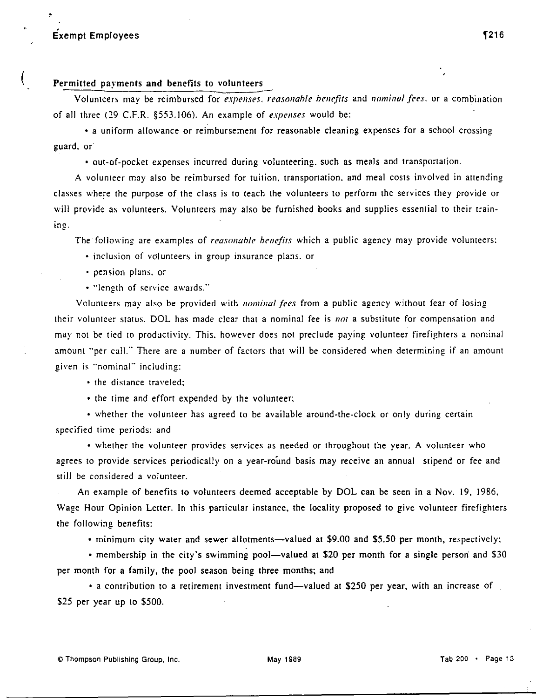# **Exempt Employees** (216 and 216 and 216 and 216 and 216 and 216 and 216 and 216 and 216 and 216 and 216 and 216 and 216 and 216 and 216 and 216 and 216 and 216 and 216 and 216 and 216 and 216 and 216 and 216 and 217 and 22

(

# **Permitted payments and benefits to volunteers**

Volunteers may be reimbursed for *expenses, reasonah/e henefits* and *nominal fees.* or a combination of all three (29 C.F.R. §553.106). An example of *expenses* would be:

• a uniform allowance or reimbursement for reasonable cleaning expenses for a school crossing guard. or

• out-of-pocket expenses incurred during volunteering.. such as meals and transportation.

A volun1eer may also be reimbursed for tuition. transportation. and meal costs involved in attending classes where the purpose of the class is to teach the volunteers to perform the services they provide or will provide as volunteers. Volunteers may also be furnished books and supplies essential to their train**ing.** 

The following are examples of *reasonahle henefits* which a public agency may provide volunteers:

• inclusion of volunteers in group insurance plans, or

- pension plans. or
- "length of service awards."

Volunteers may also be provided with *nominal fees* from a public agency without fear of losing their volunteer status. DOL has made clear that a nominal fee is not a substitute for compensation and may not be tied to productivity. This, however does not preclude paying volunteer firefighters a nominal amount "per call." There are a number of factors that will be considered when determining if an amount given is "nominal" including:

• the distance traveled:

• the time and effort expended by the volunteer:

• whether the volunteer has agreed to be available around-the-clock or only during certain specified time periods: and

• whether the volunteer provides services as needed or throughout the year. A volunleer who agrees to provide services periodically on a year-round basis may receive an annual stipend or fee and still be considered a volunteer.

An example of benefits to volunteers deemed acceptable by DOL can be seen in a Nov. 19, 1986, Wage Hour Opinion Letter. In this particular instance, the locality proposed to give volunteer firefighters the following benefits:

• minimum city water and sewer allotments—valued at \$9.00 and \$5.50 per month, respectively;

• membership in the city's swimming pool—valued at \$20 per month for a single person and \$30 per month for a family, the pool season being three months; and

• a contribution to a retirement investment fund—valued at \$250 per year, with an increase of \$25 per year up to \$500.